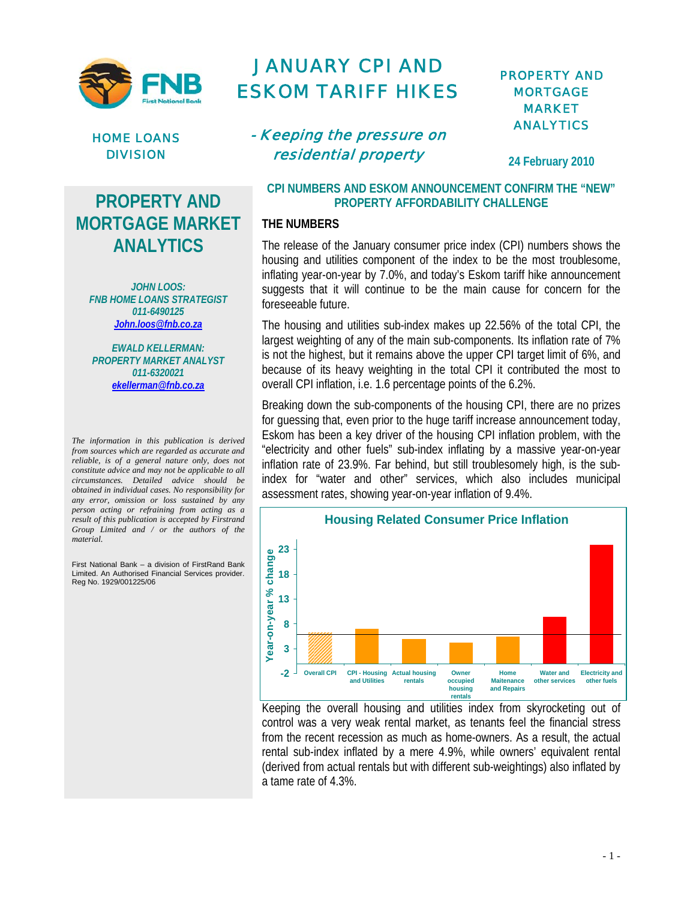



# **PROPERTY AND MORTGAGE MARKET ANALYTICS**

*JOHN LOOS: FNB HOME LOANS STRATEGIST 011-6490125 John.loos@fnb.co.za*

*EWALD KELLERMAN: PROPERTY MARKET ANALYST 011-6320021 ekellerman@fnb.co.za*

*The information in this publication is derived from sources which are regarded as accurate and reliable, is of a general nature only, does not constitute advice and may not be applicable to all circumstances. Detailed advice should be obtained in individual cases. No responsibility for any error, omission or loss sustained by any person acting or refraining from acting as a result of this publication is accepted by Firstrand Group Limited and / or the authors of the material.*

First National Bank – a division of FirstRand Bank Limited. An Authorised Financial Services provider. Reg No. 1929/001225/06

# JANUARY CPI AND ESKOM TARIFF HIKES

# - Keeping the pressure on residential property

# PROPERTY AND **MORTGAGE** MARKET ANALYTICS

**24 February 2010** 

### **CPI NUMBERS AND ESKOM ANNOUNCEMENT CONFIRM THE "NEW" PROPERTY AFFORDABILITY CHALLENGE**

### **THE NUMBERS**

The release of the January consumer price index (CPI) numbers shows the housing and utilities component of the index to be the most troublesome, inflating year-on-year by 7.0%, and today's Eskom tariff hike announcement suggests that it will continue to be the main cause for concern for the foreseeable future.

The housing and utilities sub-index makes up 22.56% of the total CPI, the largest weighting of any of the main sub-components. Its inflation rate of 7% is not the highest, but it remains above the upper CPI target limit of 6%, and because of its heavy weighting in the total CPI it contributed the most to overall CPI inflation, i.e. 1.6 percentage points of the 6.2%.

Breaking down the sub-components of the housing CPI, there are no prizes for guessing that, even prior to the huge tariff increase announcement today, Eskom has been a key driver of the housing CPI inflation problem, with the "electricity and other fuels" sub-index inflating by a massive year-on-year inflation rate of 23.9%. Far behind, but still troublesomely high, is the subindex for "water and other" services, which also includes municipal assessment rates, showing year-on-year inflation of 9.4%.



Keeping the overall housing and utilities index from skyrocketing out of control was a very weak rental market, as tenants feel the financial stress from the recent recession as much as home-owners. As a result, the actual rental sub-index inflated by a mere 4.9%, while owners' equivalent rental (derived from actual rentals but with different sub-weightings) also inflated by a tame rate of 4.3%.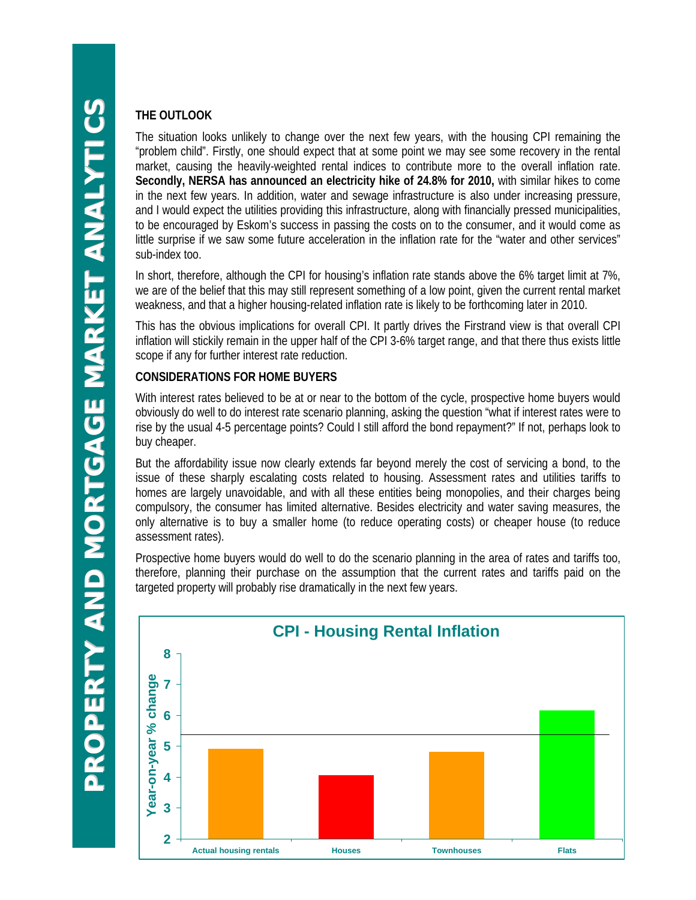# **THE OUTLOOK**

The situation looks unlikely to change over the next few years, with the housing CPI remaining the "problem child". Firstly, one should expect that at some point we may see some recovery in the rental market, causing the heavily-weighted rental indices to contribute more to the overall inflation rate. **Secondly, NERSA has announced an electricity hike of 24.8% for 2010,** with similar hikes to come in the next few years. In addition, water and sewage infrastructure is also under increasing pressure, and I would expect the utilities providing this infrastructure, along with financially pressed municipalities, to be encouraged by Eskom's success in passing the costs on to the consumer, and it would come as little surprise if we saw some future acceleration in the inflation rate for the "water and other services" sub-index too.

In short, therefore, although the CPI for housing's inflation rate stands above the 6% target limit at 7%, we are of the belief that this may still represent something of a low point, given the current rental market weakness, and that a higher housing-related inflation rate is likely to be forthcoming later in 2010.

This has the obvious implications for overall CPI. It partly drives the Firstrand view is that overall CPI inflation will stickily remain in the upper half of the CPI 3-6% target range, and that there thus exists little scope if any for further interest rate reduction.

## **CONSIDERATIONS FOR HOME BUYERS**

With interest rates believed to be at or near to the bottom of the cycle, prospective home buyers would obviously do well to do interest rate scenario planning, asking the question "what if interest rates were to rise by the usual 4-5 percentage points? Could I still afford the bond repayment?" If not, perhaps look to buy cheaper.

But the affordability issue now clearly extends far beyond merely the cost of servicing a bond, to the issue of these sharply escalating costs related to housing. Assessment rates and utilities tariffs to homes are largely unavoidable, and with all these entities being monopolies, and their charges being compulsory, the consumer has limited alternative. Besides electricity and water saving measures, the only alternative is to buy a smaller home (to reduce operating costs) or cheaper house (to reduce assessment rates).

Prospective home buyers would do well to do the scenario planning in the area of rates and tariffs too, therefore, planning their purchase on the assumption that the current rates and tariffs paid on the targeted property will probably rise dramatically in the next few years.

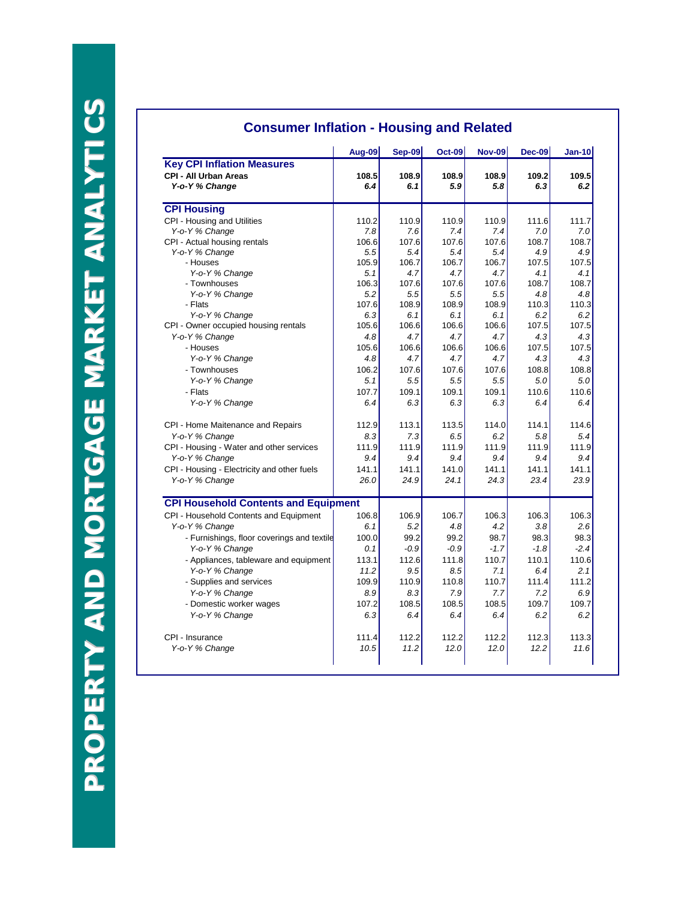|                                             | Aug-09 | <b>Sep-09</b> | <b>Oct-09</b> | <b>Nov-09</b> | $Dec-09$ | $Jan-10$ |
|---------------------------------------------|--------|---------------|---------------|---------------|----------|----------|
| <b>Key CPI Inflation Measures</b>           |        |               |               |               |          |          |
| <b>CPI - All Urban Areas</b>                | 108.5  | 108.9         | 108.9         | 108.9         | 109.2    | 109.5    |
| Y-o-Y % Change                              | 6.4    | 6.1           | 5.9           | 5.8           | 6.3      | 6.2      |
| <b>CPI Housing</b>                          |        |               |               |               |          |          |
| CPI - Housing and Utilities                 | 110.2  | 110.9         | 110.9         | 110.9         | 111.6    | 111.7    |
| Y-o-Y % Change                              | 7.8    | 7.6           | 7.4           | 7.4           | 7.0      | 7.0      |
| CPI - Actual housing rentals                | 106.6  | 107.6         | 107.6         | 107.6         | 108.7    | 108.7    |
| Y-o-Y % Change                              | 5.5    | 5.4           | 5.4           | 5.4           | 4.9      | 4.9      |
| - Houses                                    | 105.9  | 106.7         | 106.7         | 106.7         | 107.5    | 107.5    |
| Y-o-Y % Change                              | 5.1    | 4.7           | 4.7           | 4.7           | 4.1      | 4.1      |
| - Townhouses                                | 106.3  | 107.6         | 107.6         | 107.6         | 108.7    | 108.7    |
| Y-o-Y % Change                              | 5.2    | 5.5           | 5.5           | 5.5           | 4.8      | 4.8      |
| - Flats                                     | 107.6  | 108.9         | 108.9         | 108.9         | 110.3    | 110.3    |
| Y-o-Y % Change                              | 6.3    | 6.1           | 6.1           | 6.1           | 6.2      | 6.2      |
| CPI - Owner occupied housing rentals        | 105.6  | 106.6         | 106.6         | 106.6         | 107.5    | 107.5    |
| Y-o-Y % Change                              | 4.8    | 4.7           | 4.7           | 4.7           | 4.3      | 4.3      |
| - Houses                                    | 105.6  | 106.6         | 106.6         | 106.6         | 107.5    | 107.5    |
| Y-o-Y % Change                              | 4.8    | 4.7           | 4.7           | 4.7           | 4.3      | 4.3      |
| - Townhouses                                | 106.2  | 107.6         | 107.6         | 107.6         | 108.8    | 108.8    |
| Y-o-Y % Change                              | 5.1    | 5.5           | 5.5           | 5.5           | 5.0      | 5.0      |
| - Flats                                     | 107.7  | 109.1         | 109.1         | 109.1         | 110.6    | 110.6    |
| Y-o-Y % Change                              | 6.4    | 6.3           | 6.3           | 6.3           | 6.4      | 6.4      |
| CPI - Home Maitenance and Repairs           | 112.9  | 113.1         | 113.5         | 114.0         | 114.1    | 114.6    |
| Y-o-Y % Change                              | 8.3    | 7.3           | 6.5           | 6.2           | 5.8      | 5.4      |
| CPI - Housing - Water and other services    | 111.9  | 111.9         | 111.9         | 111.9         | 111.9    | 111.9    |
| Y-o-Y % Change                              | 9.4    | 9.4           | 9.4           | 9.4           | 9.4      | 9.4      |
| CPI - Housing - Electricity and other fuels | 141.1  | 141.1         | 141.0         | 141.1         | 141.1    | 141.1    |
| Y-o-Y % Change                              | 26.0   | 24.9          | 24.1          | 24.3          | 23.4     | 23.9     |
| <b>CPI Household Contents and Equipment</b> |        |               |               |               |          |          |
| CPI - Household Contents and Equipment      | 106.8  | 106.9         | 106.7         | 106.3         | 106.3    | 106.3    |
| Y-o-Y % Change                              | 6.1    | 5.2           | 4.8           | 4.2           | 3.8      | 2.6      |
| - Furnishings, floor coverings and textile  | 100.0  | 99.2          | 99.2          | 98.7          | 98.3     | 98.3     |
| Y-o-Y % Change                              | 0.1    | $-0.9$        | $-0.9$        | $-1.7$        | $-1.8$   | $-2.4$   |
| - Appliances, tableware and equipment       | 113.1  | 112.6         | 111.8         | 110.7         | 110.1    | 110.6    |
| Y-o-Y % Change                              | 11.2   | 9.5           | 8.5           | 7.1           | 6.4      | 2.1      |
| - Supplies and services                     | 109.9  | 110.9         | 110.8         | 110.7         | 111.4    | 111.2    |
|                                             | 8.9    | 8.3           | 7.9           | 7.7           | 7.2      | 6.9      |
| Y-o-Y % Change                              | 107.2  | 108.5         | 108.5         | 108.5         | 109.7    | 109.7    |
| - Domestic worker wages                     |        |               |               |               |          |          |
| Y-o-Y % Change                              | 6.3    | 6.4           | 6.4           | 6.4           | 6.2      | 6.2      |
| CPI - Insurance                             | 111.4  | 112.2         | 112.2         | 112.2         | 112.3    | 113.3    |
| Y-o-Y % Change                              | 10.5   | 11.2          | 12.0          | 12.0          | 12.2     | 11.6     |

# **Consumer Inflation - Housing and Related**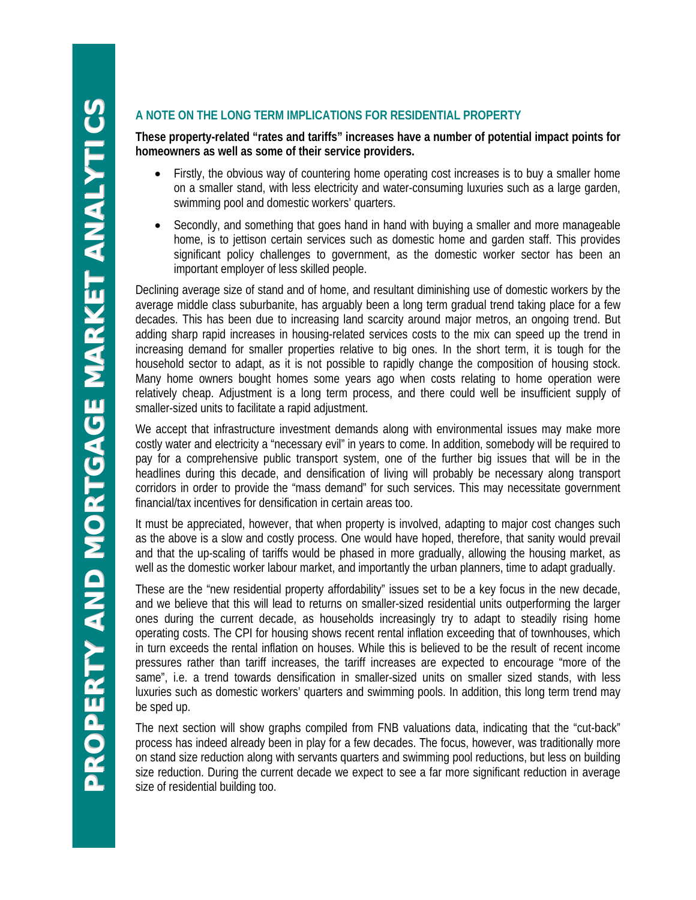### **A NOTE ON THE LONG TERM IMPLICATIONS FOR RESIDENTIAL PROPERTY**

**These property-related "rates and tariffs" increases have a number of potential impact points for homeowners as well as some of their service providers.**

- Firstly, the obvious way of countering home operating cost increases is to buy a smaller home on a smaller stand, with less electricity and water-consuming luxuries such as a large garden, swimming pool and domestic workers' quarters.
- Secondly, and something that goes hand in hand with buying a smaller and more manageable home, is to jettison certain services such as domestic home and garden staff. This provides significant policy challenges to government, as the domestic worker sector has been an important employer of less skilled people.

Declining average size of stand and of home, and resultant diminishing use of domestic workers by the average middle class suburbanite, has arguably been a long term gradual trend taking place for a few decades. This has been due to increasing land scarcity around major metros, an ongoing trend. But adding sharp rapid increases in housing-related services costs to the mix can speed up the trend in increasing demand for smaller properties relative to big ones. In the short term, it is tough for the household sector to adapt, as it is not possible to rapidly change the composition of housing stock. Many home owners bought homes some years ago when costs relating to home operation were relatively cheap. Adjustment is a long term process, and there could well be insufficient supply of smaller-sized units to facilitate a rapid adjustment.

We accept that infrastructure investment demands along with environmental issues may make more costly water and electricity a "necessary evil" in years to come. In addition, somebody will be required to pay for a comprehensive public transport system, one of the further big issues that will be in the headlines during this decade, and densification of living will probably be necessary along transport corridors in order to provide the "mass demand" for such services. This may necessitate government financial/tax incentives for densification in certain areas too.

It must be appreciated, however, that when property is involved, adapting to major cost changes such as the above is a slow and costly process. One would have hoped, therefore, that sanity would prevail and that the up-scaling of tariffs would be phased in more gradually, allowing the housing market, as well as the domestic worker labour market, and importantly the urban planners, time to adapt gradually.

These are the "new residential property affordability" issues set to be a key focus in the new decade, and we believe that this will lead to returns on smaller-sized residential units outperforming the larger ones during the current decade, as households increasingly try to adapt to steadily rising home operating costs. The CPI for housing shows recent rental inflation exceeding that of townhouses, which in turn exceeds the rental inflation on houses. While this is believed to be the result of recent income pressures rather than tariff increases, the tariff increases are expected to encourage "more of the same", i.e. a trend towards densification in smaller-sized units on smaller sized stands, with less luxuries such as domestic workers' quarters and swimming pools. In addition, this long term trend may be sped up.

The next section will show graphs compiled from FNB valuations data, indicating that the "cut-back" process has indeed already been in play for a few decades. The focus, however, was traditionally more on stand size reduction along with servants quarters and swimming pool reductions, but less on building size reduction. During the current decade we expect to see a far more significant reduction in average size of residential building too.